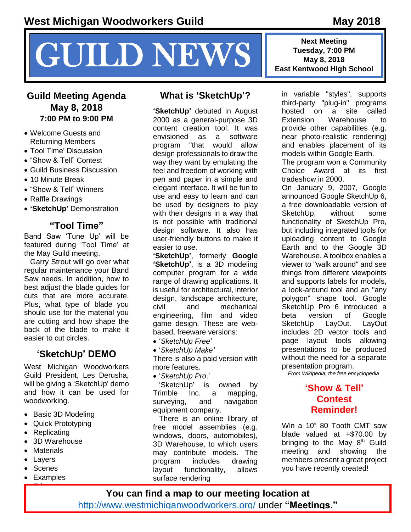# **MEWS** Tuesday, 7:00 PM<br>East Kentwood High School

### **Guild Meeting Agenda May 8, 2018 7:00 PM to 9:00 PM**

- Welcome Guests and Returning Members
- Tool Time' Discussion
- "Show & Tell" Contest
- Guild Business Discussion
- 10 Minute Break
- "Show & Tell" Winners
- Raffle Drawings
- **'SketchUp'** Demonstration

# **"Tool Time"**

Band Saw 'Tune Up' will be featured during 'Tool Time' at the May Guild meeting.

Garry Strout will go over what regular maintenance your Band Saw needs. In addition, how to best adjust the blade guides for cuts that are more accurate. Plus, what type of blade you should use for the material you are cutting and how shape the back of the blade to make it easier to cut circles.

# **'SketchUp' DEMO**

West Michigan Woodworkers Guild President, Les Derusha, will be giving a 'SketchUp' demo and how it can be used for woodworking.

- Basic 3D Modeling
- Quick Prototyping
- **Replicating**
- 3D Warehouse
- Materials
- Layers
- **Scenes**
- Examples Education

## **What is 'SketchUp'?**

**'SketchUp'** debuted in August 2000 as a general-purpose 3D content creation tool. It was envisioned as a software program "that would allow design professionals to draw the way they want by emulating the feel and freedom of working with pen and paper in a simple and elegant interface. It will be fun to use and easy to learn and can be used by designers to play with their designs in a way that is not possible with traditional design software. It also has user-friendly buttons to make it easier to use.

**'SketchUp'**, formerly **Google 'SketchUp'**, is a [3D modeling](https://en.wikipedia.org/wiki/3D_modeling) [computer program](https://en.wikipedia.org/wiki/Computer_program) for a wide range of drawing applications. It is useful for [architectural,](https://en.wikipedia.org/wiki/Architect) interior design, landscape architecture, [civil](https://en.wikipedia.org/wiki/Civil_engineer) and [mechanical](https://en.wikipedia.org/wiki/Mechanical_engineering)  [engineering,](https://en.wikipedia.org/wiki/Mechanical_engineering) film and [video](https://en.wikipedia.org/wiki/Video_game_developer)  [game](https://en.wikipedia.org/wiki/Video_game_developer) design. These are webbased, freeware versions:

- '*SketchUp Free'*
- '*SketchUp Make'*

There is also a paid version with more features.

'*SketchUp Pro*.'

'SketchUp' is owned by [Trimble Inc.](https://en.wikipedia.org/wiki/Trimble_(company)) a mapping, surveying, and navigation equipment company.

There is an online library of free model assemblies (e.g. windows, doors, automobiles), [3D Warehouse,](https://en.wikipedia.org/wiki/3D_Warehouse) to which users may contribute models. The program includes drawing layout functionality, allows surface rendering

**Next Meeting Tuesday, 7:00 PM**

in variable "styles", supports third-party "plug-in" programs hosted on a site called Extension Warehouse to provide other capabilities (e.g. near photo-realistic rendering) and enables placement of its models within [Google Earth.](https://en.wikipedia.org/wiki/Google_Earth) The program won a Community

Choice Award at its first tradeshow in 2000.

On January 9, 2007, Google announced Google SketchUp 6, a free downloadable version of SketchUp, without some functionality of SketchUp Pro, but including integrated tools for uploading content to Google Earth and to the Google [3D](https://en.wikipedia.org/wiki/3D_Warehouse)  [Warehouse.](https://en.wikipedia.org/wiki/3D_Warehouse) A toolbox enables a viewer to "walk around" and see things from different viewpoints and supports labels for models, a look-around tool and an "any polygon" shape tool. Google SketchUp Pro 6 introduced a [beta version](https://en.wikipedia.org/wiki/Beta_version) of Google SketchUp LayOut. LayOut includes 2D vector tools and page layout tools allowing presentations to be produced without the need for a separate presentation program.

*From Wikipedia, the free encyclopedia*

#### **'Show & Tell' Contest Reminder!**

Win a 10" 80 Tooth CMT saw blade valued at +\$70.00 by bringing to the May  $8<sup>th</sup>$  Guild meeting and showing the members present a great project you have recently created!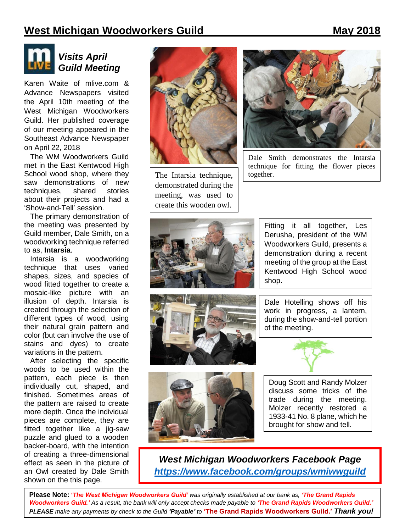



# *Visits April Guild Meeting*

Karen Waite of mlive.com & Advance Newspapers visited the April 10th meeting of the West Michigan Woodworkers Guild. Her published coverage of our meeting appeared in the Southeast Advance Newspaper on April 22, 2018

The WM Woodworkers Guild met in the East Kentwood High School wood shop, where they saw demonstrations of new techniques, shared stories about their projects and had a 'Show-and-Tell' session.

The primary demonstration of the meeting was presented by Guild member, Dale Smith, on a woodworking technique referred to as, **Intarsia**.

Intarsia is a woodworking technique that uses varied shapes, sizes, and species of wood fitted together to create a mosaic-like picture with an illusion of depth. Intarsia is created through the selection of different types of wood, using their natural grain pattern and color (but can involve the use of stains and dyes) to create variations in the pattern.

After selecting the specific woods to be used within the pattern, each piece is then individually cut, shaped, and finished. Sometimes areas of the pattern are raised to create more depth. Once the individual pieces are complete, they are fitted together like a jig-saw puzzle and glued to a wooden backer-board, with the intention of creating a three-dimensional effect as seen in the picture of an Owl created by Dale Smith shown on the this page.



The Intarsia technique, demonstrated during the meeting, was used to create this wooden owl.



Dale Smith demonstrates the Intarsia technique for fitting the flower pieces together.







Fitting it all together, Les Derusha, president of the WM Woodworkers Guild, presents a demonstration during a recent meeting of the group at the East Kentwood High School wood shop.

Dale Hotelling shows off his work in progress, a lantern, during the show-and-tell portion of the meeting.



Doug Scott and Randy Molzer discuss some tricks of the trade during the meeting. Molzer recently restored a 1933-41 No. 8 plane, which he brought for show and tell.

*West Michigan Woodworkers Facebook Page <https://www.facebook.com/groups/wmiwwguild>*

**Please Note: '***The West Michigan Woodworkers Guild' was originally established at our bank as, 'The Grand Rapids Woodworkers Guild.' As a result, the bank will only accept checks made payable to 'The Grand Rapids Woodworkers Guild.' PLEASE make any payments by check to the Guild 'Payable' to* **'The Grand Rapids Woodworkers Guild.'** *Thank you!*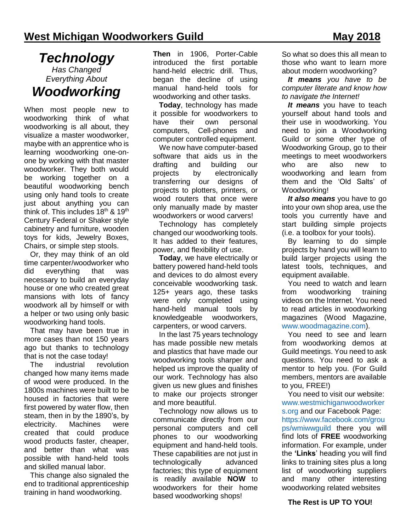# *Technology Has Changed Everything About Woodworking*

When most people new to woodworking think of what woodworking is all about, they visualize a master woodworker, maybe with an apprentice who is learning woodworking one-onone by working with that master woodworker. They both would be working together on a beautiful woodworking bench using only hand tools to create just about anything you can think of. This includes  $18<sup>th</sup>$  &  $19<sup>th</sup>$ Century Federal or Shaker style cabinetry and furniture, wooden toys for kids, Jewelry Boxes, Chairs, or simple step stools.

Or, they may think of an old time carpenter/woodworker who did everything that was necessary to build an everyday house or one who created great mansions with lots of fancy woodwork all by himself or with a helper or two using only basic woodworking hand tools.

That may have been true in more cases than not 150 years ago but thanks to technology that is not the case today!

The industrial revolution changed how many items made of wood were produced. In the 1800s machines were built to be housed in factories that were first powered by water flow, then steam, then in by the 1890's, by electricity. Machines were created that could produce wood products faster, cheaper, and better than what was possible with hand-held tools and skilled manual labor.

This change also signaled the end to traditional apprenticeship training in hand woodworking.

**Then** in 1906, Porter-Cable introduced the first portable hand-held electric drill. Thus, began the decline of using manual hand-held tools for woodworking and other tasks.

**Today**, technology has made it possible for woodworkers to have their own personal computers, Cell-phones and computer controlled equipment.

We now have computer-based software that aids us in the drafting and building our projects by electronically transferring our designs of projects to plotters, printers, or wood routers that once were only manually made by master woodworkers or wood carvers!

Technology has completely changed our woodworking tools. It has added to their features, power, and flexibility of use.

**Today**, we have electrically or battery powered hand-held tools and devices to do almost every conceivable woodworking task. 125+ years ago, these tasks were only completed using hand-held manual tools by knowledgeable woodworkers, carpenters, or wood carvers.

In the last 75 years technology has made possible new metals and plastics that have made our woodworking tools sharper and helped us improve the quality of our work. Technology has also given us new glues and finishes to make our projects stronger and more beautiful.

Technology now allows us to communicate directly from our personal computers and cell phones to our woodworking equipment and hand-held tools. These capabilities are not just in technologically advanced factories; this type of equipment is readily available **NOW** to woodworkers for their home based woodworking shops!

So what so does this all mean to those who want to learn more about modern woodworking?

*It means you have to be computer literate and know how to navigate the Internet!*

*It means* you have to teach yourself about hand tools and their use in woodworking. You need to join a Woodworking Guild or some other type of Woodworking Group, go to their meetings to meet woodworkers who are also new to woodworking and learn from them and the 'Old Salts' of Woodworking!

*It also means* you have to go into your own shop area, use the tools you currently have and start building simple projects (i.e. a toolbox for your tools).

By learning to do simple projects by hand you will learn to build larger projects using the latest tools, techniques, and equipment available.

You need to watch and learn from woodworking training videos on the Internet. You need to read articles in woodworking magazines (Wood Magazine, [www.woodmagazine.com\)](www.woodmagazine.com).

You need to see and learn from woodworking demos at Guild meetings. You need to ask questions. You need to ask a mentor to help you. (For Guild members, mentors are available to you, FREE!)

You need to visit our website: [www.westmichiganwoodworker](http://www.westmichiganwoodworkers.org/) [s.org](http://www.westmichiganwoodworkers.org/) and our Facebook Page: [https://www.facebook.com/grou](https://www.facebook.com/groups/wmiwwguild) [ps/wmiwwguild](https://www.facebook.com/groups/wmiwwguild) there you will find lots of **FREE** woodworking information. For example, under the **'Links**' heading you will find links to training sites plus a long list of woodworking suppliers and many other interesting woodworking related websites